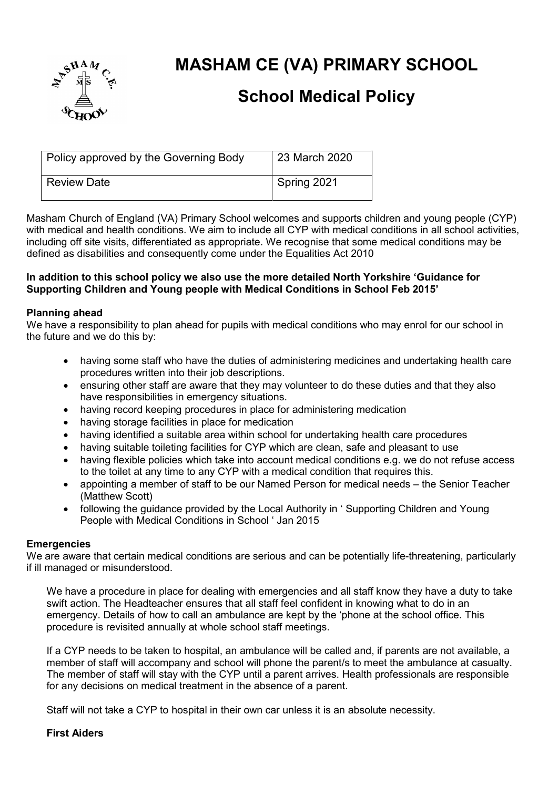

# MASHAM CE (VA) PRIMARY SCHOOL

## School Medical Policy

| Policy approved by the Governing Body | 23 March 2020 |
|---------------------------------------|---------------|
| <b>Review Date</b>                    | Spring 2021   |

Masham Church of England (VA) Primary School welcomes and supports children and young people (CYP) with medical and health conditions. We aim to include all CYP with medical conditions in all school activities, including off site visits, differentiated as appropriate. We recognise that some medical conditions may be defined as disabilities and consequently come under the Equalities Act 2010

#### In addition to this school policy we also use the more detailed North Yorkshire 'Guidance for Supporting Children and Young people with Medical Conditions in School Feb 2015'

## Planning ahead

We have a responsibility to plan ahead for pupils with medical conditions who may enrol for our school in the future and we do this by:

- having some staff who have the duties of administering medicines and undertaking health care procedures written into their job descriptions.
- ensuring other staff are aware that they may volunteer to do these duties and that they also have responsibilities in emergency situations.
- having record keeping procedures in place for administering medication
- having storage facilities in place for medication
- having identified a suitable area within school for undertaking health care procedures
- having suitable toileting facilities for CYP which are clean, safe and pleasant to use
- having flexible policies which take into account medical conditions e.g. we do not refuse access to the toilet at any time to any CYP with a medical condition that requires this.
- appointing a member of staff to be our Named Person for medical needs the Senior Teacher (Matthew Scott)
- following the guidance provided by the Local Authority in 'Supporting Children and Young People with Medical Conditions in School ' Jan 2015

#### **Emergencies**

We are aware that certain medical conditions are serious and can be potentially life-threatening, particularly if ill managed or misunderstood.

We have a procedure in place for dealing with emergencies and all staff know they have a duty to take swift action. The Headteacher ensures that all staff feel confident in knowing what to do in an emergency. Details of how to call an ambulance are kept by the 'phone at the school office. This procedure is revisited annually at whole school staff meetings.

If a CYP needs to be taken to hospital, an ambulance will be called and, if parents are not available, a member of staff will accompany and school will phone the parent/s to meet the ambulance at casualty. The member of staff will stay with the CYP until a parent arrives. Health professionals are responsible for any decisions on medical treatment in the absence of a parent.

Staff will not take a CYP to hospital in their own car unless it is an absolute necessity.

#### First Aiders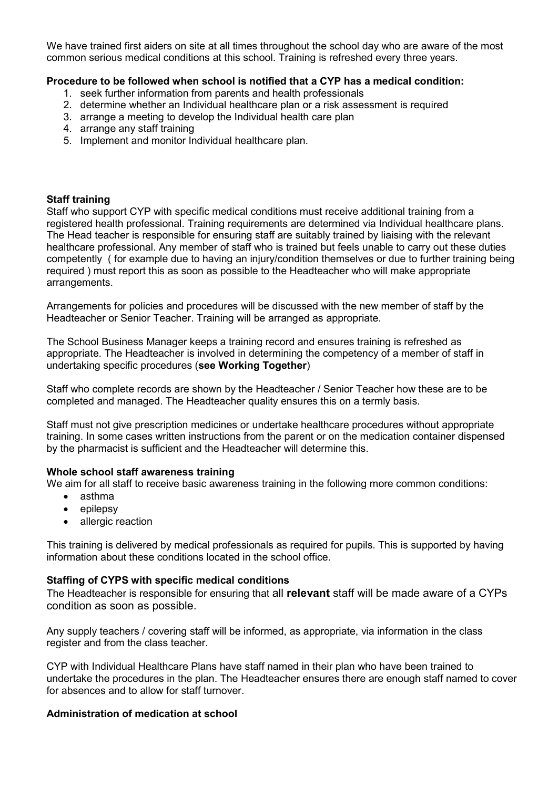We have trained first aiders on site at all times throughout the school day who are aware of the most common serious medical conditions at this school. Training is refreshed every three years.

## Procedure to be followed when school is notified that a CYP has a medical condition:

- 1. seek further information from parents and health professionals
- 2. determine whether an Individual healthcare plan or a risk assessment is required
- 3. arrange a meeting to develop the Individual health care plan
- 4. arrange any staff training
- 5. Implement and monitor Individual healthcare plan.

#### Staff training

Staff who support CYP with specific medical conditions must receive additional training from a registered health professional. Training requirements are determined via Individual healthcare plans. The Head teacher is responsible for ensuring staff are suitably trained by liaising with the relevant healthcare professional. Any member of staff who is trained but feels unable to carry out these duties competently ( for example due to having an injury/condition themselves or due to further training being required ) must report this as soon as possible to the Headteacher who will make appropriate arrangements.

Arrangements for policies and procedures will be discussed with the new member of staff by the Headteacher or Senior Teacher. Training will be arranged as appropriate.

The School Business Manager keeps a training record and ensures training is refreshed as appropriate. The Headteacher is involved in determining the competency of a member of staff in undertaking specific procedures (see Working Together)

Staff who complete records are shown by the Headteacher / Senior Teacher how these are to be completed and managed. The Headteacher quality ensures this on a termly basis.

Staff must not give prescription medicines or undertake healthcare procedures without appropriate training. In some cases written instructions from the parent or on the medication container dispensed by the pharmacist is sufficient and the Headteacher will determine this.

#### Whole school staff awareness training

We aim for all staff to receive basic awareness training in the following more common conditions:

- asthma
- $\bullet$  epilepsy
- allergic reaction

This training is delivered by medical professionals as required for pupils. This is supported by having information about these conditions located in the school office.

#### Staffing of CYPS with specific medical conditions

The Headteacher is responsible for ensuring that all **relevant** staff will be made aware of a CYPs condition as soon as possible.

Any supply teachers / covering staff will be informed, as appropriate, via information in the class register and from the class teacher.

CYP with Individual Healthcare Plans have staff named in their plan who have been trained to undertake the procedures in the plan. The Headteacher ensures there are enough staff named to cover for absences and to allow for staff turnover.

#### Administration of medication at school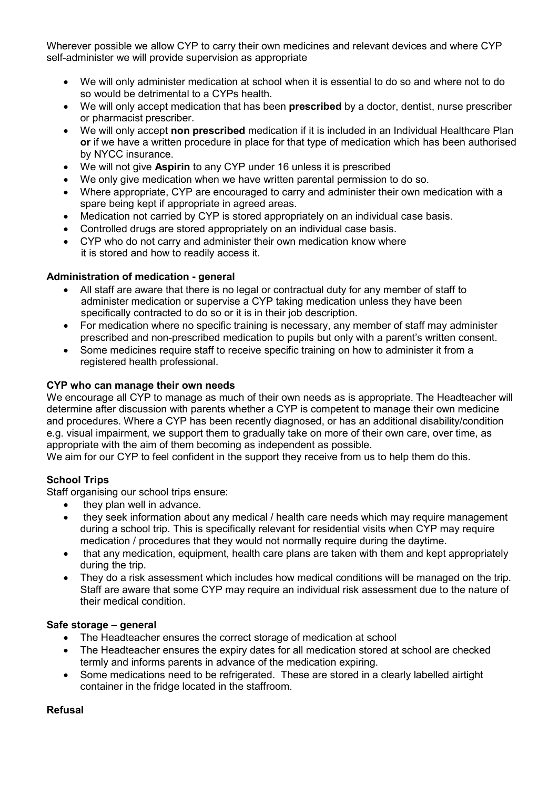Wherever possible we allow CYP to carry their own medicines and relevant devices and where CYP self-administer we will provide supervision as appropriate

- We will only administer medication at school when it is essential to do so and where not to do so would be detrimental to a CYPs health.
- We will only accept medication that has been **prescribed** by a doctor, dentist, nurse prescriber or pharmacist prescriber.
- We will only accept non prescribed medication if it is included in an Individual Healthcare Plan or if we have a written procedure in place for that type of medication which has been authorised by NYCC insurance.
- We will not give Aspirin to any CYP under 16 unless it is prescribed
- We only give medication when we have written parental permission to do so.
- Where appropriate, CYP are encouraged to carry and administer their own medication with a spare being kept if appropriate in agreed areas.
- Medication not carried by CYP is stored appropriately on an individual case basis.
- Controlled drugs are stored appropriately on an individual case basis.
- CYP who do not carry and administer their own medication know where it is stored and how to readily access it.

#### Administration of medication - general

- All staff are aware that there is no legal or contractual duty for any member of staff to administer medication or supervise a CYP taking medication unless they have been specifically contracted to do so or it is in their job description.
- For medication where no specific training is necessary, any member of staff may administer prescribed and non-prescribed medication to pupils but only with a parent's written consent.
- Some medicines require staff to receive specific training on how to administer it from a registered health professional.

#### CYP who can manage their own needs

We encourage all CYP to manage as much of their own needs as is appropriate. The Headteacher will determine after discussion with parents whether a CYP is competent to manage their own medicine and procedures. Where a CYP has been recently diagnosed, or has an additional disability/condition e.g. visual impairment, we support them to gradually take on more of their own care, over time, as appropriate with the aim of them becoming as independent as possible.

We aim for our CYP to feel confident in the support they receive from us to help them do this.

#### School Trips

Staff organising our school trips ensure:

- they plan well in advance.
- they seek information about any medical / health care needs which may require management during a school trip. This is specifically relevant for residential visits when CYP may require medication / procedures that they would not normally require during the daytime.
- that any medication, equipment, health care plans are taken with them and kept appropriately during the trip.
- They do a risk assessment which includes how medical conditions will be managed on the trip. Staff are aware that some CYP may require an individual risk assessment due to the nature of their medical condition.

#### Safe storage – general

- The Headteacher ensures the correct storage of medication at school
- The Headteacher ensures the expiry dates for all medication stored at school are checked termly and informs parents in advance of the medication expiring.
- Some medications need to be refrigerated. These are stored in a clearly labelled airtight container in the fridge located in the staffroom.

#### Refusal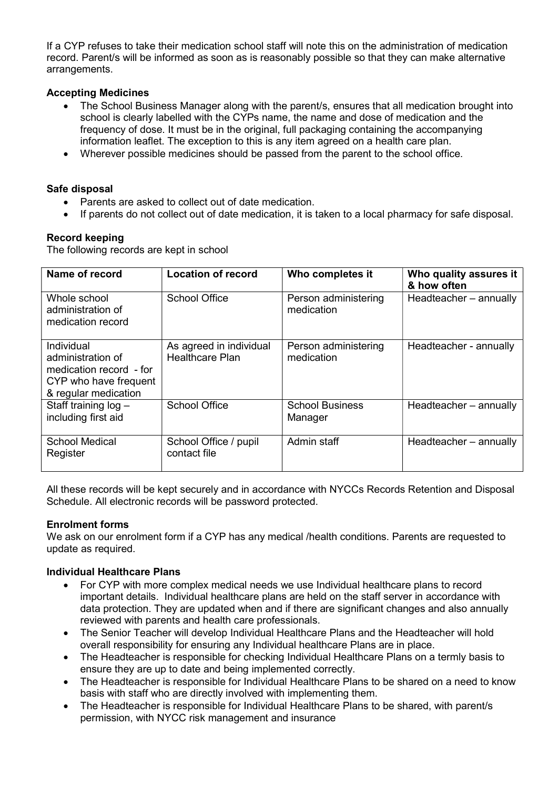If a CYP refuses to take their medication school staff will note this on the administration of medication record. Parent/s will be informed as soon as is reasonably possible so that they can make alternative arrangements.

## Accepting Medicines

- The School Business Manager along with the parent/s, ensures that all medication brought into school is clearly labelled with the CYPs name, the name and dose of medication and the frequency of dose. It must be in the original, full packaging containing the accompanying information leaflet. The exception to this is any item agreed on a health care plan.
- Wherever possible medicines should be passed from the parent to the school office.

## Safe disposal

- Parents are asked to collect out of date medication.
- If parents do not collect out of date medication, it is taken to a local pharmacy for safe disposal.

## Record keeping

The following records are kept in school

| Name of record                                                                                              | <b>Location of record</b>                         | Who completes it                   | Who quality assures it<br>& how often |
|-------------------------------------------------------------------------------------------------------------|---------------------------------------------------|------------------------------------|---------------------------------------|
| Whole school<br>administration of<br>medication record                                                      | <b>School Office</b>                              | Person administering<br>medication | Headteacher - annually                |
| Individual<br>administration of<br>medication record - for<br>CYP who have frequent<br>& regular medication | As agreed in individual<br><b>Healthcare Plan</b> | Person administering<br>medication | Headteacher - annually                |
| Staff training $log -$<br>including first aid                                                               | <b>School Office</b>                              | <b>School Business</b><br>Manager  | Headteacher - annually                |
| <b>School Medical</b><br>Register                                                                           | School Office / pupil<br>contact file             | Admin staff                        | Headteacher - annually                |

All these records will be kept securely and in accordance with NYCCs Records Retention and Disposal Schedule. All electronic records will be password protected.

#### Enrolment forms

We ask on our enrolment form if a CYP has any medical /health conditions. Parents are requested to update as required.

#### Individual Healthcare Plans

- For CYP with more complex medical needs we use Individual healthcare plans to record important details. Individual healthcare plans are held on the staff server in accordance with data protection. They are updated when and if there are significant changes and also annually reviewed with parents and health care professionals.
- The Senior Teacher will develop Individual Healthcare Plans and the Headteacher will hold overall responsibility for ensuring any Individual healthcare Plans are in place.
- The Headteacher is responsible for checking Individual Healthcare Plans on a termly basis to ensure they are up to date and being implemented correctly.
- The Headteacher is responsible for Individual Healthcare Plans to be shared on a need to know basis with staff who are directly involved with implementing them.
- The Headteacher is responsible for Individual Healthcare Plans to be shared, with parent/s permission, with NYCC risk management and insurance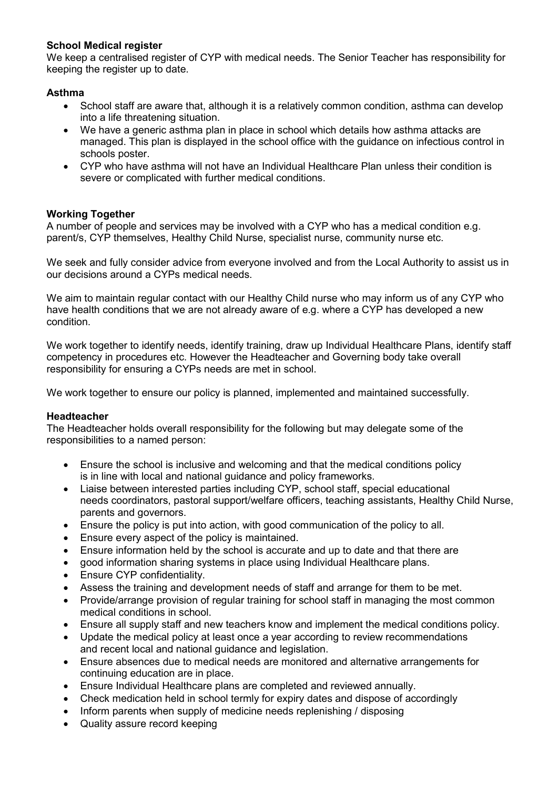## School Medical register

We keep a centralised register of CYP with medical needs. The Senior Teacher has responsibility for keeping the register up to date.

#### Asthma

- School staff are aware that, although it is a relatively common condition, asthma can develop into a life threatening situation.
- We have a generic asthma plan in place in school which details how asthma attacks are managed. This plan is displayed in the school office with the guidance on infectious control in schools poster.
- CYP who have asthma will not have an Individual Healthcare Plan unless their condition is severe or complicated with further medical conditions.

## Working Together

A number of people and services may be involved with a CYP who has a medical condition e.g. parent/s, CYP themselves, Healthy Child Nurse, specialist nurse, community nurse etc.

We seek and fully consider advice from everyone involved and from the Local Authority to assist us in our decisions around a CYPs medical needs.

We aim to maintain regular contact with our Healthy Child nurse who may inform us of any CYP who have health conditions that we are not already aware of e.g. where a CYP has developed a new condition.

We work together to identify needs, identify training, draw up Individual Healthcare Plans, identify staff competency in procedures etc. However the Headteacher and Governing body take overall responsibility for ensuring a CYPs needs are met in school.

We work together to ensure our policy is planned, implemented and maintained successfully.

#### Headteacher

The Headteacher holds overall responsibility for the following but may delegate some of the responsibilities to a named person:

- Ensure the school is inclusive and welcoming and that the medical conditions policy is in line with local and national guidance and policy frameworks.
- Liaise between interested parties including CYP, school staff, special educational needs coordinators, pastoral support/welfare officers, teaching assistants, Healthy Child Nurse, parents and governors.
- Ensure the policy is put into action, with good communication of the policy to all.
- Ensure every aspect of the policy is maintained.
- Ensure information held by the school is accurate and up to date and that there are
- good information sharing systems in place using Individual Healthcare plans.
- Ensure CYP confidentiality.
- Assess the training and development needs of staff and arrange for them to be met.
- Provide/arrange provision of regular training for school staff in managing the most common medical conditions in school.
- Ensure all supply staff and new teachers know and implement the medical conditions policy.
- Update the medical policy at least once a year according to review recommendations and recent local and national guidance and legislation.
- Ensure absences due to medical needs are monitored and alternative arrangements for continuing education are in place.
- Ensure Individual Healthcare plans are completed and reviewed annually.
- Check medication held in school termly for expiry dates and dispose of accordingly
- Inform parents when supply of medicine needs replenishing / disposing
- Quality assure record keeping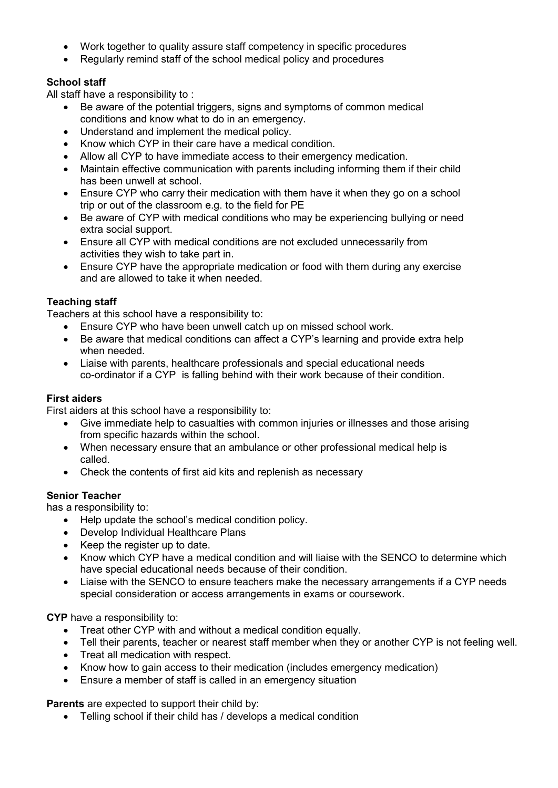- Work together to quality assure staff competency in specific procedures
- Regularly remind staff of the school medical policy and procedures

## School staff

All staff have a responsibility to :

- Be aware of the potential triggers, signs and symptoms of common medical conditions and know what to do in an emergency.
- Understand and implement the medical policy.
- Know which CYP in their care have a medical condition.
- Allow all CYP to have immediate access to their emergency medication.
- Maintain effective communication with parents including informing them if their child has been unwell at school.
- Ensure CYP who carry their medication with them have it when they go on a school trip or out of the classroom e.g. to the field for PE
- Be aware of CYP with medical conditions who may be experiencing bullying or need extra social support.
- Ensure all CYP with medical conditions are not excluded unnecessarily from activities they wish to take part in.
- Ensure CYP have the appropriate medication or food with them during any exercise and are allowed to take it when needed.

## Teaching staff

Teachers at this school have a responsibility to:

- Ensure CYP who have been unwell catch up on missed school work.
- Be aware that medical conditions can affect a CYP's learning and provide extra help when needed.
- Liaise with parents, healthcare professionals and special educational needs co-ordinator if a CYP is falling behind with their work because of their condition.

#### First aiders

First aiders at this school have a responsibility to:

- Give immediate help to casualties with common injuries or illnesses and those arising from specific hazards within the school.
- When necessary ensure that an ambulance or other professional medical help is called.
- Check the contents of first aid kits and replenish as necessary

#### Senior Teacher

has a responsibility to:

- Help update the school's medical condition policy.
- Develop Individual Healthcare Plans
- Keep the register up to date.
- Know which CYP have a medical condition and will liaise with the SENCO to determine which have special educational needs because of their condition.
- Liaise with the SENCO to ensure teachers make the necessary arrangements if a CYP needs special consideration or access arrangements in exams or coursework.

CYP have a responsibility to:

- Treat other CYP with and without a medical condition equally.
- Tell their parents, teacher or nearest staff member when they or another CYP is not feeling well.
- Treat all medication with respect.
- Know how to gain access to their medication (includes emergency medication)
- Ensure a member of staff is called in an emergency situation

Parents are expected to support their child by:

Telling school if their child has / develops a medical condition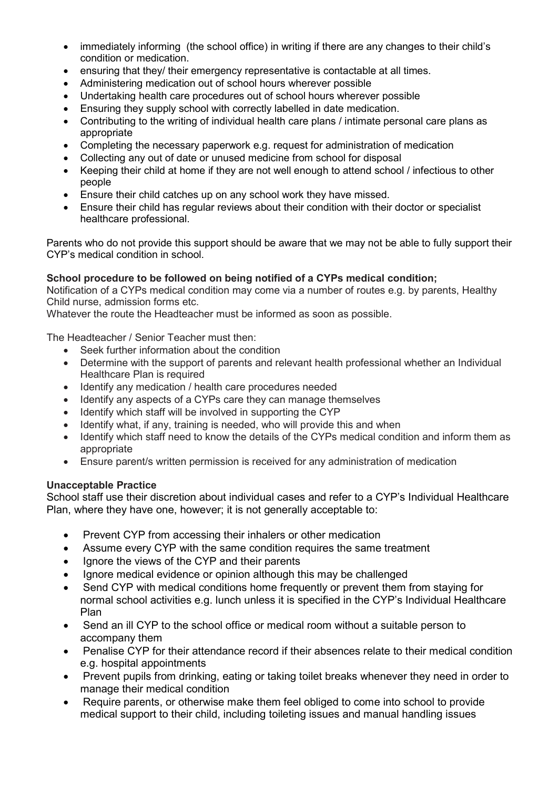- immediately informing (the school office) in writing if there are any changes to their child's condition or medication.
- ensuring that they/ their emergency representative is contactable at all times.
- Administering medication out of school hours wherever possible
- Undertaking health care procedures out of school hours wherever possible
- Ensuring they supply school with correctly labelled in date medication.
- Contributing to the writing of individual health care plans / intimate personal care plans as appropriate
- Completing the necessary paperwork e.g. request for administration of medication
- Collecting any out of date or unused medicine from school for disposal
- Keeping their child at home if they are not well enough to attend school / infectious to other people
- Ensure their child catches up on any school work they have missed.
- Ensure their child has regular reviews about their condition with their doctor or specialist healthcare professional.

Parents who do not provide this support should be aware that we may not be able to fully support their CYP's medical condition in school.

## School procedure to be followed on being notified of a CYPs medical condition;

Notification of a CYPs medical condition may come via a number of routes e.g. by parents, Healthy Child nurse, admission forms etc.

Whatever the route the Headteacher must be informed as soon as possible.

The Headteacher / Senior Teacher must then:

- Seek further information about the condition
- Determine with the support of parents and relevant health professional whether an Individual Healthcare Plan is required
- Identify any medication / health care procedures needed
- Identify any aspects of a CYPs care they can manage themselves
- Identify which staff will be involved in supporting the CYP
- Identify what, if any, training is needed, who will provide this and when
- Identify which staff need to know the details of the CYPs medical condition and inform them as appropriate
- Ensure parent/s written permission is received for any administration of medication

#### Unacceptable Practice

School staff use their discretion about individual cases and refer to a CYP's Individual Healthcare Plan, where they have one, however; it is not generally acceptable to:

- Prevent CYP from accessing their inhalers or other medication
- Assume every CYP with the same condition requires the same treatment
- Ignore the views of the CYP and their parents
- Ignore medical evidence or opinion although this may be challenged
- Send CYP with medical conditions home frequently or prevent them from staying for normal school activities e.g. lunch unless it is specified in the CYP's Individual Healthcare Plan
- Send an ill CYP to the school office or medical room without a suitable person to accompany them
- Penalise CYP for their attendance record if their absences relate to their medical condition e.g. hospital appointments
- Prevent pupils from drinking, eating or taking toilet breaks whenever they need in order to manage their medical condition
- Require parents, or otherwise make them feel obliged to come into school to provide medical support to their child, including toileting issues and manual handling issues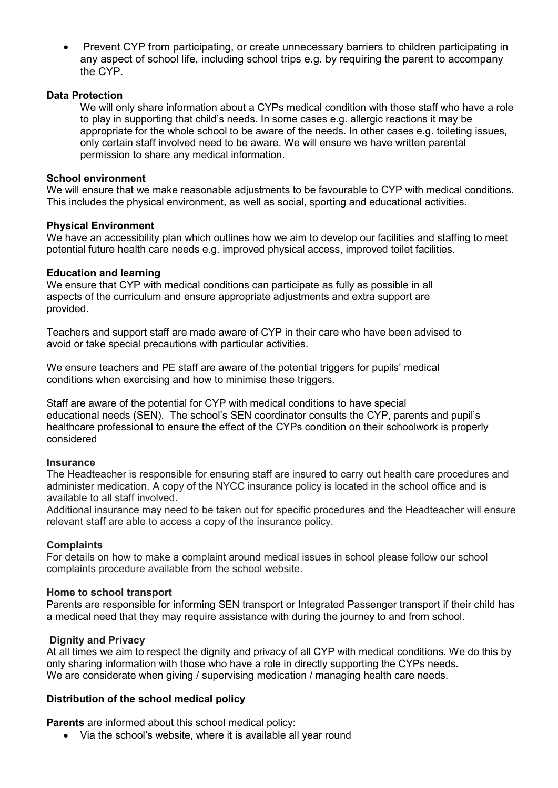• Prevent CYP from participating, or create unnecessary barriers to children participating in any aspect of school life, including school trips e.g. by requiring the parent to accompany the CYP.

#### Data Protection

We will only share information about a CYPs medical condition with those staff who have a role to play in supporting that child's needs. In some cases e.g. allergic reactions it may be appropriate for the whole school to be aware of the needs. In other cases e.g. toileting issues, only certain staff involved need to be aware. We will ensure we have written parental permission to share any medical information.

#### School environment

We will ensure that we make reasonable adjustments to be favourable to CYP with medical conditions. This includes the physical environment, as well as social, sporting and educational activities.

#### Physical Environment

We have an accessibility plan which outlines how we aim to develop our facilities and staffing to meet potential future health care needs e.g. improved physical access, improved toilet facilities.

#### Education and learning

We ensure that CYP with medical conditions can participate as fully as possible in all aspects of the curriculum and ensure appropriate adjustments and extra support are provided.

Teachers and support staff are made aware of CYP in their care who have been advised to avoid or take special precautions with particular activities.

We ensure teachers and PE staff are aware of the potential triggers for pupils' medical conditions when exercising and how to minimise these triggers.

Staff are aware of the potential for CYP with medical conditions to have special educational needs (SEN). The school's SEN coordinator consults the CYP, parents and pupil's healthcare professional to ensure the effect of the CYPs condition on their schoolwork is properly considered

#### **Insurance**

The Headteacher is responsible for ensuring staff are insured to carry out health care procedures and administer medication. A copy of the NYCC insurance policy is located in the school office and is available to all staff involved.

Additional insurance may need to be taken out for specific procedures and the Headteacher will ensure relevant staff are able to access a copy of the insurance policy.

#### **Complaints**

For details on how to make a complaint around medical issues in school please follow our school complaints procedure available from the school website.

#### Home to school transport

Parents are responsible for informing SEN transport or Integrated Passenger transport if their child has a medical need that they may require assistance with during the journey to and from school.

#### Dignity and Privacy

At all times we aim to respect the dignity and privacy of all CYP with medical conditions. We do this by only sharing information with those who have a role in directly supporting the CYPs needs. We are considerate when giving / supervising medication / managing health care needs.

#### Distribution of the school medical policy

Parents are informed about this school medical policy:

• Via the school's website, where it is available all year round